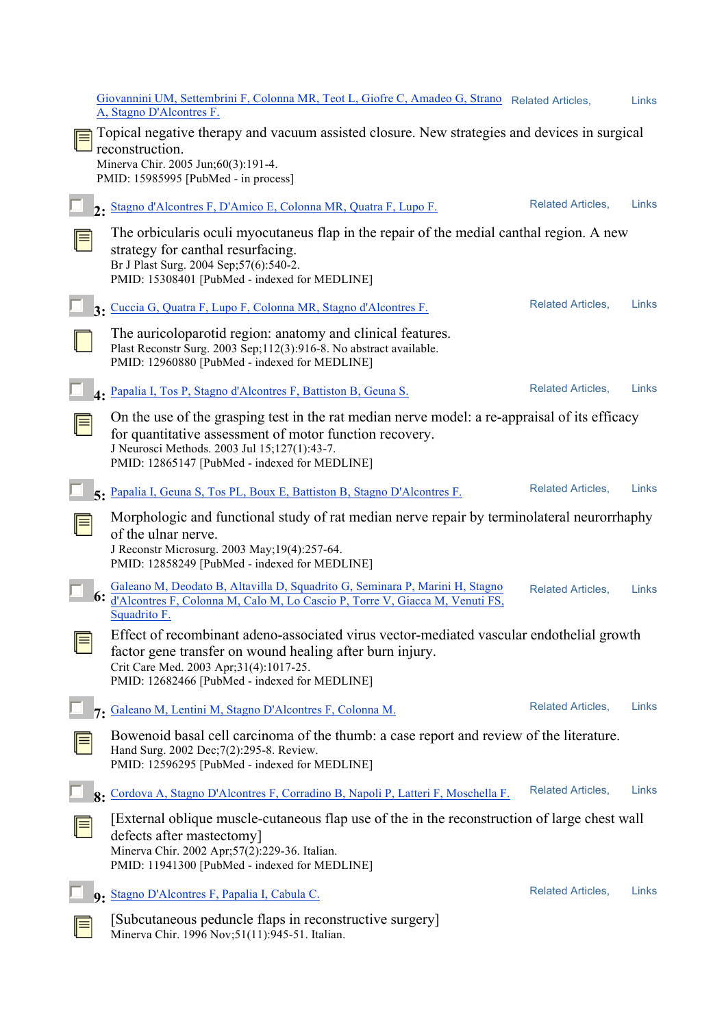|   | Giovannini UM, Settembrini F, Colonna MR, Teot L, Giofre C, Amadeo G, Strano Related Articles,<br>A, Stagno D'Alcontres F.                                                                                                                                |                          | Links |
|---|-----------------------------------------------------------------------------------------------------------------------------------------------------------------------------------------------------------------------------------------------------------|--------------------------|-------|
|   | Topical negative therapy and vacuum assisted closure. New strategies and devices in surgical<br>reconstruction.<br>Minerva Chir. 2005 Jun;60(3):191-4.<br>PMID: 15985995 [PubMed - in process]                                                            |                          |       |
|   | 2. Stagno d'Alcontres F, D'Amico E, Colonna MR, Quatra F, Lupo F.                                                                                                                                                                                         | <b>Related Articles,</b> | Links |
|   | The orbicularis oculi myocutaneus flap in the repair of the medial canthal region. A new<br>strategy for canthal resurfacing.<br>Br J Plast Surg. 2004 Sep; 57(6): 540-2.<br>PMID: 15308401 [PubMed - indexed for MEDLINE]                                |                          |       |
|   | 3. Cuccia G, Quatra F, Lupo F, Colonna MR, Stagno d'Alcontres F.                                                                                                                                                                                          | <b>Related Articles,</b> | Links |
|   | The auricoloparotid region: anatomy and clinical features.<br>Plast Reconstr Surg. 2003 Sep;112(3):916-8. No abstract available.<br>PMID: 12960880 [PubMed - indexed for MEDLINE]                                                                         |                          |       |
|   | 4. Papalia I, Tos P, Stagno d'Alcontres F, Battiston B, Geuna S.                                                                                                                                                                                          | <b>Related Articles,</b> | Links |
|   | On the use of the grasping test in the rat median nerve model: a re-appraisal of its efficacy<br>for quantitative assessment of motor function recovery.<br>J Neurosci Methods. 2003 Jul 15;127(1):43-7.<br>PMID: 12865147 [PubMed - indexed for MEDLINE] |                          |       |
|   | 5. Papalia I, Geuna S, Tos PL, Boux E, Battiston B, Stagno D'Alcontres F.                                                                                                                                                                                 | <b>Related Articles,</b> | Links |
|   | Morphologic and functional study of rat median nerve repair by terminolateral neurorrhaphy<br>of the ulnar nerve.<br>J Reconstr Microsurg. 2003 May; 19(4):257-64.<br>PMID: 12858249 [PubMed - indexed for MEDLINE]                                       |                          |       |
|   | Galeano M, Deodato B, Altavilla D, Squadrito G, Seminara P, Marini H, Stagno<br>6: d'Alcontres F, Colonna M, Calo M, Lo Cascio P, Torre V, Giacca M, Venuti FS,<br>Squadrito F.                                                                           | <b>Related Articles,</b> | Links |
| ⊫ | Effect of recombinant adeno-associated virus vector-mediated vascular endothelial growth<br>factor gene transfer on wound healing after burn injury.<br>Crit Care Med. 2003 Apr;31(4):1017-25.<br>PMID: 12682466 [PubMed - indexed for MEDLINE]           |                          |       |
|   | 7. Galeano M, Lentini M, Stagno D'Alcontres F, Colonna M.                                                                                                                                                                                                 | <b>Related Articles,</b> | Links |
|   | Bowenoid basal cell carcinoma of the thumb: a case report and review of the literature.<br>Hand Surg. 2002 Dec; 7(2): 295-8. Review.<br>PMID: 12596295 [PubMed - indexed for MEDLINE]                                                                     |                          |       |
|   | 8. Cordova A, Stagno D'Alcontres F, Corradino B, Napoli P, Latteri F, Moschella F.                                                                                                                                                                        | <b>Related Articles,</b> | Links |
|   | [External oblique muscle-cutaneous flap use of the in the reconstruction of large chest wall<br>defects after mastectomy]<br>Minerva Chir. 2002 Apr;57(2):229-36. Italian.<br>PMID: 11941300 [PubMed - indexed for MEDLINE]                               |                          |       |
|   | 9. Stagno D'Alcontres F, Papalia I, Cabula C.                                                                                                                                                                                                             | <b>Related Articles,</b> | Links |
|   | [Subcutaneous peduncle flaps in reconstructive surgery]<br>Minerva Chir. 1996 Nov;51(11):945-51. Italian.                                                                                                                                                 |                          |       |

Minerva Chir. 1996 Nov;51(11):945-51. Italian.